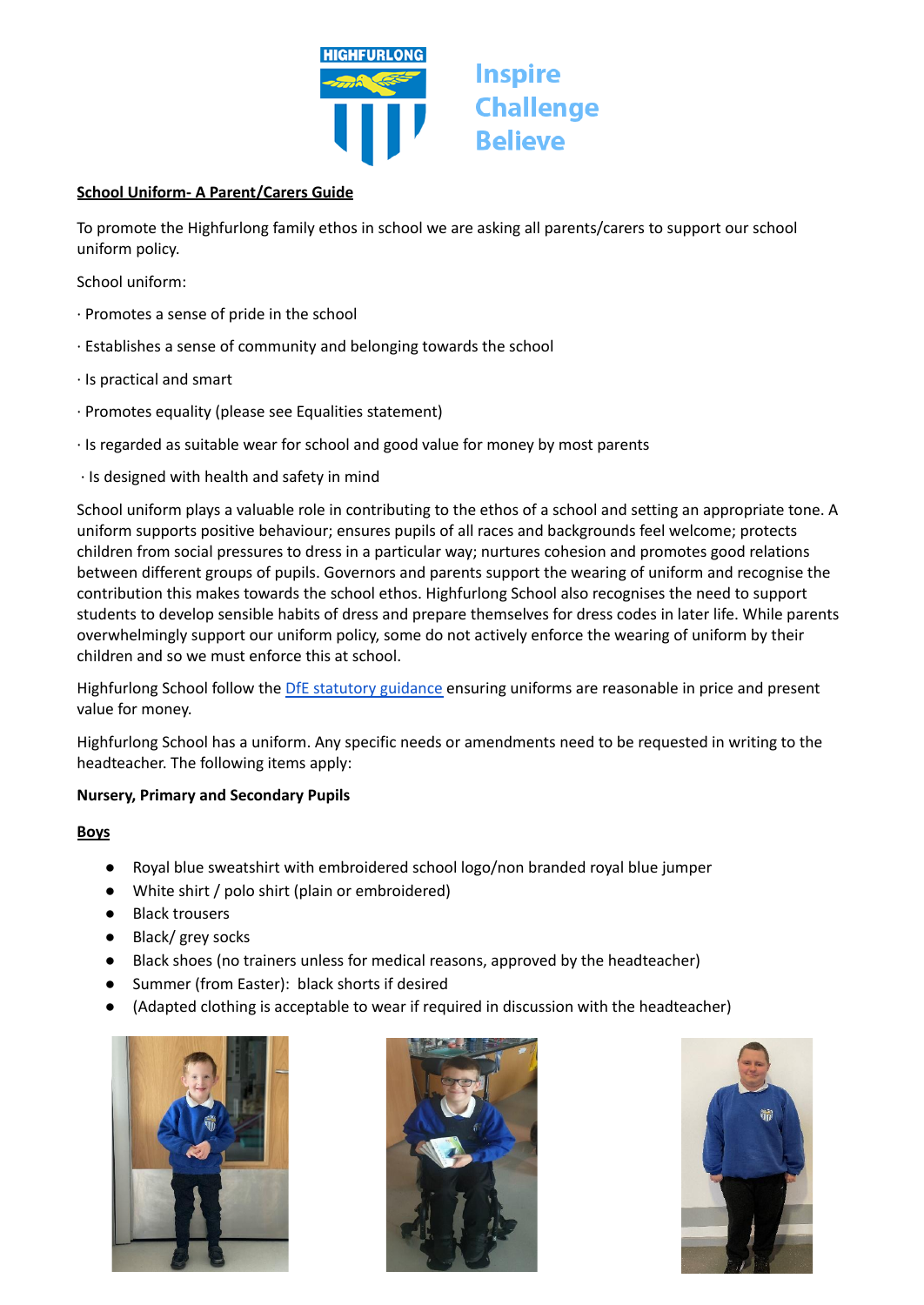

## **School Uniform- A Parent/Carers Guide**

To promote the Highfurlong family ethos in school we are asking all parents/carers to support our school uniform policy.

**Inspire** 

**Believe** 

**Challenge** 

School uniform:

- ∙ Promotes a sense of pride in the school
- ∙ Establishes a sense of community and belonging towards the school
- ∙ Is practical and smart
- ∙ Promotes equality (please see Equalities statement)
- ∙ Is regarded as suitable wear for school and good value for money by most parents
- ∙ Is designed with health and safety in mind

School uniform plays a valuable role in contributing to the ethos of a school and setting an appropriate tone. A uniform supports positive behaviour; ensures pupils of all races and backgrounds feel welcome; protects children from social pressures to dress in a particular way; nurtures cohesion and promotes good relations between different groups of pupils. Governors and parents support the wearing of uniform and recognise the contribution this makes towards the school ethos. Highfurlong School also recognises the need to support students to develop sensible habits of dress and prepare themselves for dress codes in later life. While parents overwhelmingly support our uniform policy, some do not actively enforce the wearing of uniform by their children and so we must enforce this at school.

Highfurlong School follow the DfE [statutory](https://www.gov.uk/government/publications/cost-of-school-uniforms/cost-of-school-uniforms) guidance ensuring uniforms are reasonable in price and present value for money.

Highfurlong School has a uniform. Any specific needs or amendments need to be requested in writing to the headteacher. The following items apply:

## **Nursery, Primary and Secondary Pupils**

## **Boys**

- Royal blue sweatshirt with embroidered school logo/non branded royal blue jumper
- White shirt / polo shirt (plain or embroidered)
- Black trousers
- Black/ grey socks
- Black shoes (no trainers unless for medical reasons, approved by the headteacher)
- Summer (from Easter): black shorts if desired
- **●** (Adapted clothing is acceptable to wear if required in discussion with the headteacher)





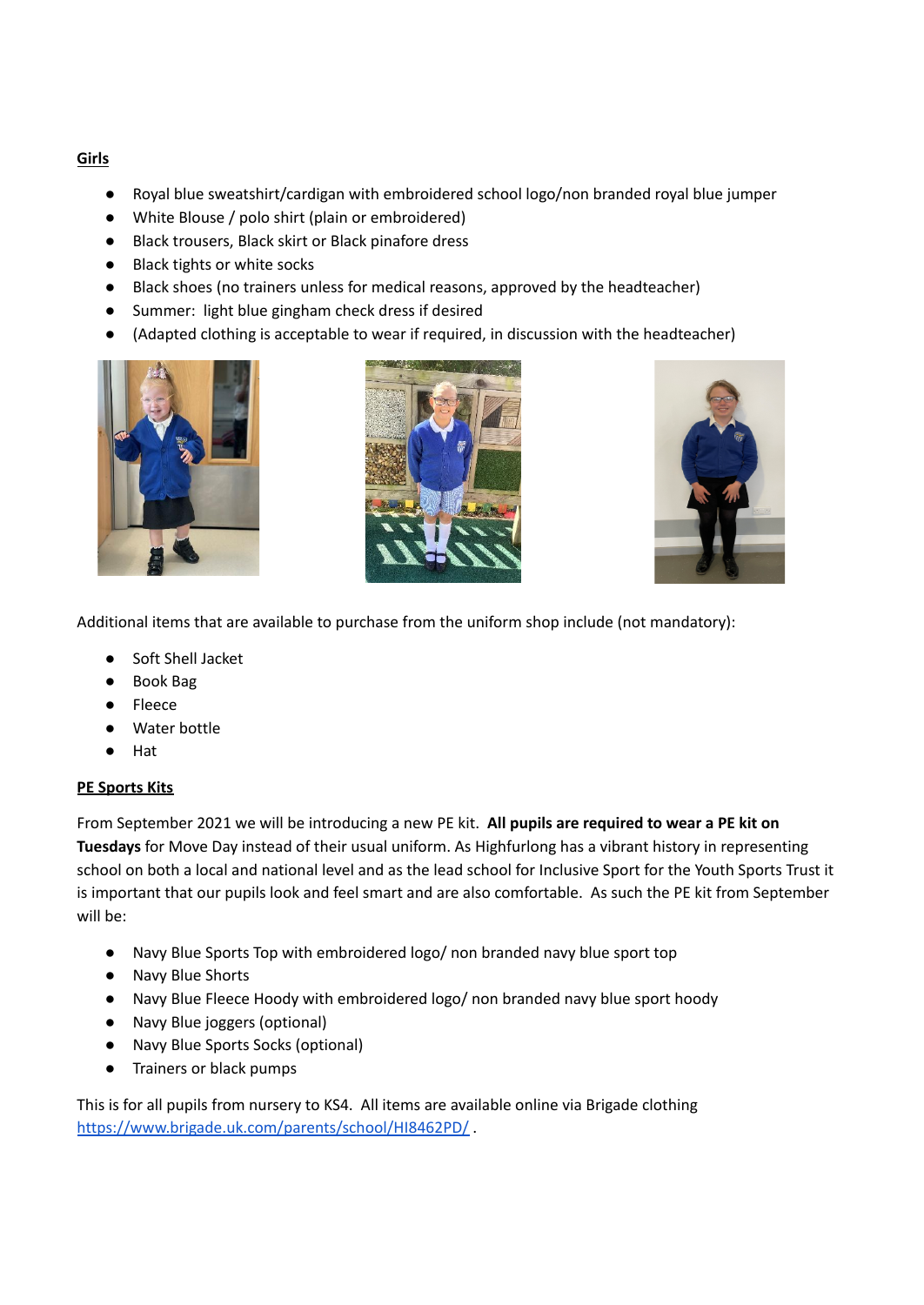# **Girls**

- Royal blue sweatshirt/cardigan with embroidered school logo/non branded royal blue jumper
- White Blouse / polo shirt (plain or embroidered)
- Black trousers, Black skirt or Black pinafore dress
- Black tights or white socks
- Black shoes (no trainers unless for medical reasons, approved by the headteacher)
- Summer: light blue gingham check dress if desired
- (Adapted clothing is acceptable to wear if required, in discussion with the headteacher)







Additional items that are available to purchase from the uniform shop include (not mandatory):

- Soft Shell Jacket
- Book Bag
- **Fleece**
- Water bottle
- Hat

## **PE Sports Kits**

From September 2021 we will be introducing a new PE kit. **All pupils are required to wear a PE kit on Tuesdays** for Move Day instead of their usual uniform. As Highfurlong has a vibrant history in representing school on both a local and national level and as the lead school for Inclusive Sport for the Youth Sports Trust it is important that our pupils look and feel smart and are also comfortable. As such the PE kit from September will be:

- Navy Blue Sports Top with embroidered logo/ non branded navy blue sport top
- Navy Blue Shorts
- Navy Blue Fleece Hoody with embroidered logo/ non branded navy blue sport hoody
- Navy Blue joggers (optional)
- Navy Blue Sports Socks (optional)
- Trainers or black pumps

This is for all pupils from nursery to KS4. All items are available online via Brigade clothing <https://www.brigade.uk.com/parents/school/HI8462PD/> .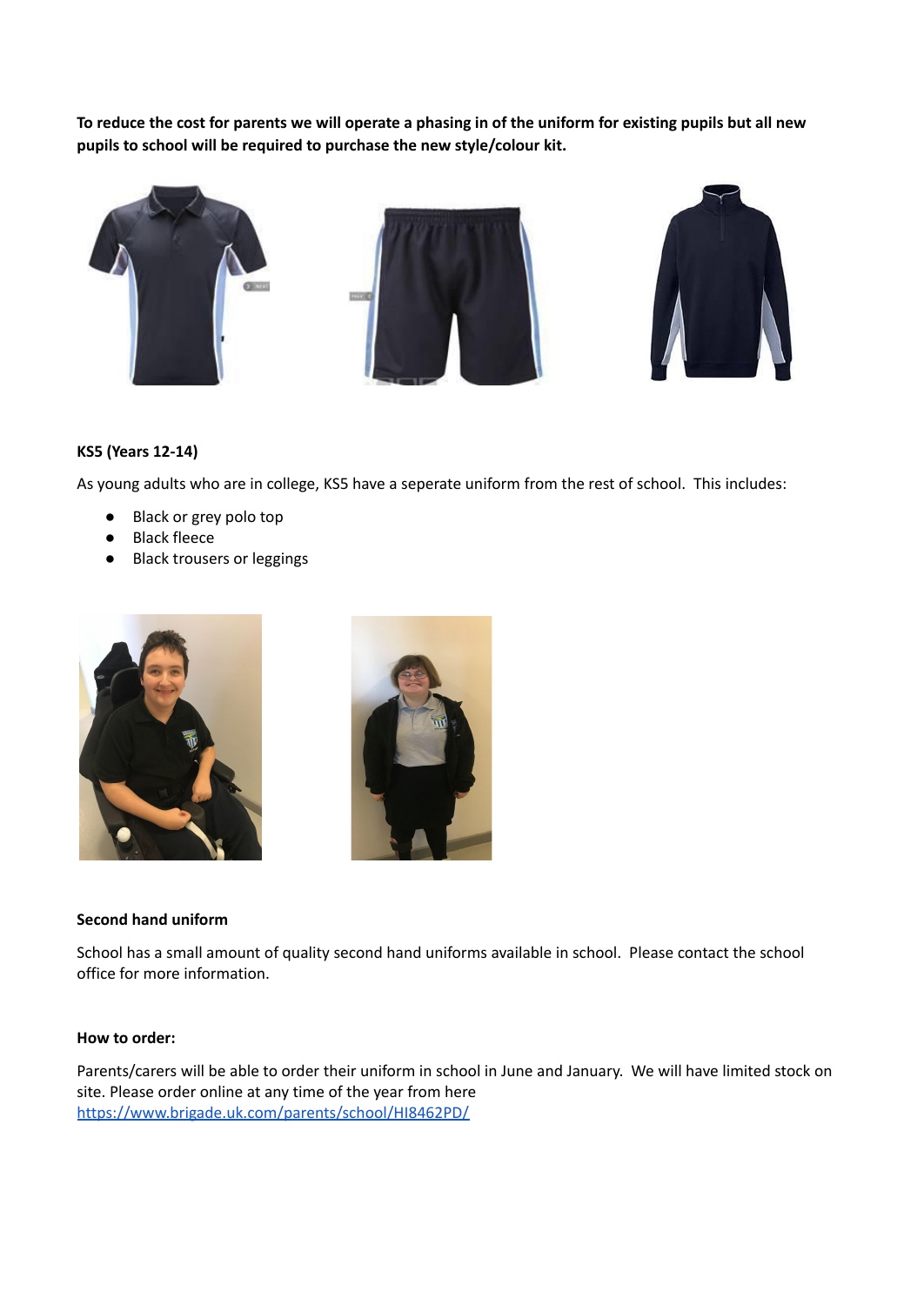To reduce the cost for parents we will operate a phasing in of the uniform for existing pupils but all new **pupils to school will be required to purchase the new style/colour kit.**



## **KS5 (Years 12-14)**

As young adults who are in college, KS5 have a seperate uniform from the rest of school. This includes:

- Black or grey polo top
- **Black fleece**
- **Black trousers or leggings**





#### **Second hand uniform**

School has a small amount of quality second hand uniforms available in school. Please contact the school office for more information.

## **How to order:**

Parents/carers will be able to order their uniform in school in June and January. We will have limited stock on site. Please order online at any time of the year from here <https://www.brigade.uk.com/parents/school/HI8462PD/>